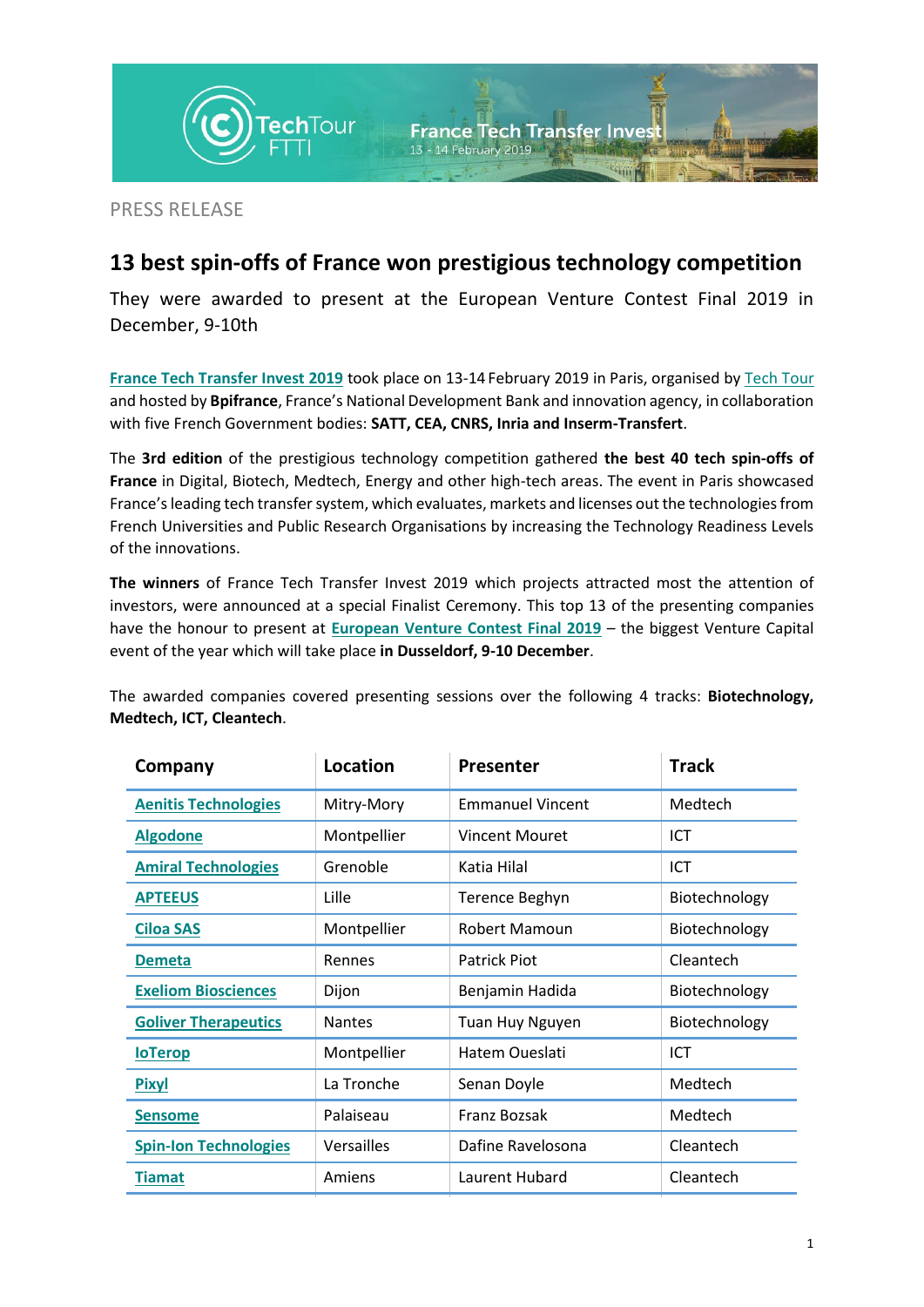

PRESS RELEASE

## **13 best spin-offs of France won prestigious technology competition**

They were awarded to present at the European Venture Contest Final 2019 in December, 9-10th

**France [Tech Transfer](https://techtour.com/events/2019/2/event-france-tech-transfer-invest-2019.html?pageId=2946978) Invest 2019** took place on 13-14 February 2019 in Paris, organised by [Tech Tour](https://techtour.com/) and hosted by **Bpifrance**, France's National Development Bank and innovation agency, in collaboration with five French Government bodies: **SATT, CEA, CNRS, Inria and Inserm-Transfert**.

The **3rd edition** of the prestigious technology competition gathered **the best 40 tech spin-offs of France** in Digital, Biotech, Medtech, Energy and other high-tech areas. The event in Paris showcased France's leading tech transfer system, which evaluates, markets and licenses out the technologies from French Universities and Public Research Organisations by increasing the Technology Readiness Levels of the innovations.

**The winners** of France Tech Transfer Invest 2019 which projects attracted most the attention of investors, were announced at a special Finalist Ceremony. This top 13 of the presenting companies have the honour to present at **European [Venture Contest Final 2019](https://techtour.com/events/2019/12/event-european-venture-contest-final-2019.html)** – the biggest Venture Capital event of the year which will take place **in Dusseldorf, 9-10 December**.

The awarded companies covered presenting sessions over the following 4 tracks: **Biotechnology, Medtech, ICT, Cleantech**.

| Company                      | Location      | <b>Presenter</b>        | <b>Track</b>  |
|------------------------------|---------------|-------------------------|---------------|
| <b>Aenitis Technologies</b>  | Mitry-Mory    | <b>Emmanuel Vincent</b> | Medtech       |
| <b>Algodone</b>              | Montpellier   | <b>Vincent Mouret</b>   | ICT           |
| <b>Amiral Technologies</b>   | Grenoble      | Katia Hilal             | ICT           |
| <b>APTEEUS</b>               | Lille         | Terence Beghyn          | Biotechnology |
| <b>Ciloa SAS</b>             | Montpellier   | Robert Mamoun           | Biotechnology |
| <b>Demeta</b>                | Rennes        | <b>Patrick Piot</b>     | Cleantech     |
| <b>Exeliom Biosciences</b>   | Dijon         | Benjamin Hadida         | Biotechnology |
| <b>Goliver Therapeutics</b>  | <b>Nantes</b> | Tuan Huy Nguyen         | Biotechnology |
| <b>loTerop</b>               | Montpellier   | Hatem Oueslati          | ICT           |
| <b>Pixyl</b>                 | La Tronche    | Senan Doyle             | Medtech       |
| <b>Sensome</b>               | Palaiseau     | Franz Bozsak            | Medtech       |
| <b>Spin-Ion Technologies</b> | Versailles    | Dafine Ravelosona       | Cleantech     |
| <b>Tiamat</b>                | Amiens        | Laurent Hubard          | Cleantech     |